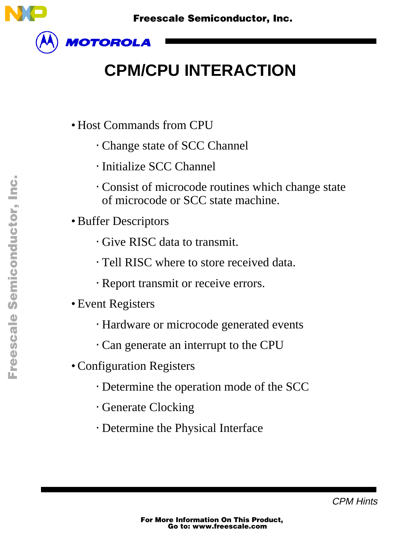

# **CPM/CPU INTERACTION**

- Host Commands from CPU
	- ⋅ Change state of SCC Channel
	- ⋅ Initialize SCC Channel
	- ⋅ Consist of microcode routines which change state of microcode or SCC state machine.
- Buffer Descriptors
	- ⋅ Give RISC data to transmit.
	- ⋅ Tell RISC where to store received data.
	- ⋅ Report transmit or receive errors.
- Event Registers
	- ⋅ Hardware or microcode generated events
	- ⋅ Can generate an interrupt to the CPU
- Configuration Registers
	- ⋅ Determine the operation mode of the SCC
	- ⋅ Generate Clocking
	- ⋅ Determine the Physical Interface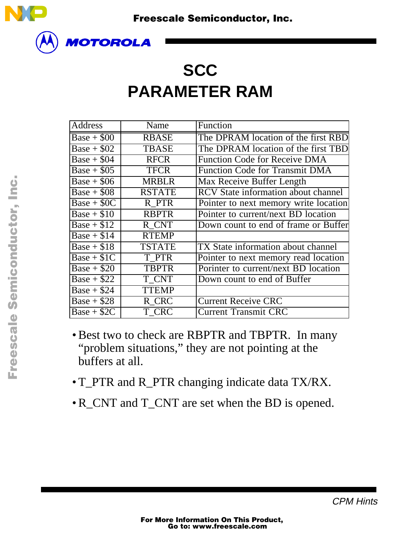

#### **SCC PARAMETER RAM**

| <b>Address</b> | Name          | Function                                   |
|----------------|---------------|--------------------------------------------|
| $Base + $00$   | <b>RBASE</b>  | The DPRAM location of the first RBD        |
| Base + $$02$   | <b>TBASE</b>  | The DPRAM location of the first TBD        |
| Base + $$04$   | <b>RFCR</b>   | <b>Function Code for Receive DMA</b>       |
| Base + $$05$   | <b>TFCR</b>   | <b>Function Code for Transmit DMA</b>      |
| $Base + $06$   | <b>MRBLR</b>  | Max Receive Buffer Length                  |
| $Base + $08$   | <b>RSTATE</b> | <b>RCV</b> State information about channel |
| $Base + $0C$   | R PTR         | Pointer to next memory write location      |
| $Base + $10$   | <b>RBPTR</b>  | Pointer to current/next BD location        |
| $Base + $12$   | R CNT         | Down count to end of frame or Buffer       |
| $Base + $14$   | <b>RTEMP</b>  |                                            |
| $Base + $18$   | <b>TSTATE</b> | <b>TX</b> State information about channel  |
| $Base + $1C$   | T PTR         | Pointer to next memory read location       |
| $Base + $20$   | <b>TBPTR</b>  | Porinter to current/next BD location       |
| $Base + $22$   | T CNT         | Down count to end of Buffer                |
| $Base + $24$   | <b>TTEMP</b>  |                                            |
| $Base + $28$   | R CRC         | <b>Current Receive CRC</b>                 |
| $Base + $2C$   | T CRC         | <b>Current Transmit CRC</b>                |

- Best two to check are RBPTR and TBPTR. In many "problem situations," they are not pointing at the buffers at all.
- T\_PTR and R\_PTR changing indicate data TX/RX.
- R\_CNT and T\_CNT are set when the BD is opened.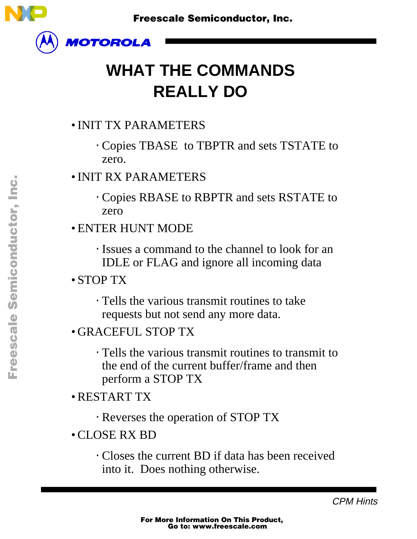

# **WHAT THE COMMANDS REALLY DO**

#### • INIT TX PARAMETERS

- ⋅ Copies TBASE to TBPTR and sets TSTATE to zero.
- INIT RX PARAMETERS
	- ⋅ Copies RBASE to RBPTR and sets RSTATE to zero
- ENTER HUNT MODE
	- ⋅ Issues a command to the channel to look for an IDLE or FLAG and ignore all incoming data
- STOP TX
	- ⋅ Tells the various transmit routines to take requests but not send any more data.
- GRACEFUL STOP TX
	- ⋅ Tells the various transmit routines to transmit to the end of the current buffer/frame and then perform a STOP TX
- RESTART TX
	- ⋅ Reverses the operation of STOP TX
- CLOSE RX BD
	- ⋅ Closes the current BD if data has been received into it. Does nothing otherwise.

CPM Hints

 $\blacksquare$ 

.<br>ق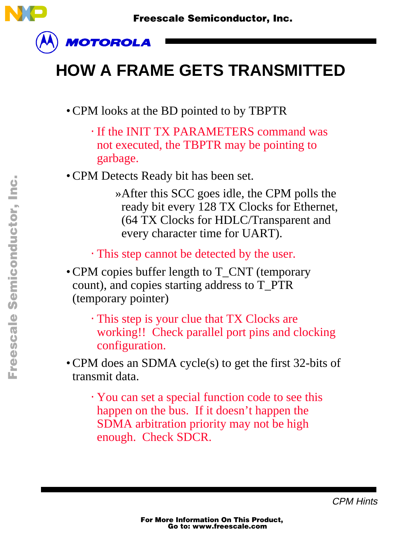

#### **HOW A FRAME GETS TRANSMITTED**

- CPM looks at the BD pointed to by TBPTR
	- ⋅ If the INIT TX PARAMETERS command was not executed, the TBPTR may be pointing to garbage.
- CPM Detects Ready bit has been set.

»After this SCC goes idle, the CPM polls the ready bit every 128 TX Clocks for Ethernet, (64 TX Clocks for HDLC/Transparent and every character time for UART).

⋅ This step cannot be detected by the user.

- CPM copies buffer length to T\_CNT (temporary count), and copies starting address to T\_PTR (temporary pointer)
	- ⋅ This step is your clue that TX Clocks are working!! Check parallel port pins and clocking configuration.
- CPM does an SDMA cycle(s) to get the first 32-bits of transmit data.
	- ⋅ You can set a special function code to see this happen on the bus. If it doesn't happen the SDMA arbitration priority may not be high enough. Check SDCR.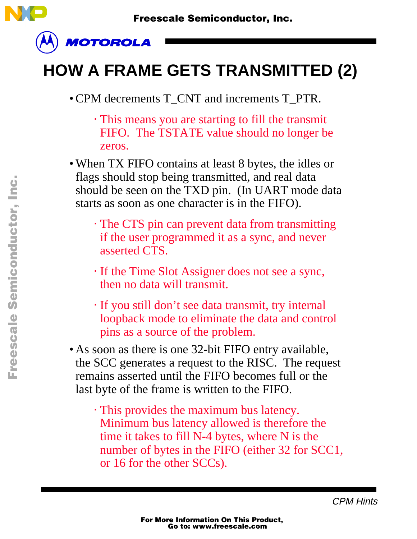

# **HOW A FRAME GETS TRANSMITTED (2)**

• CPM decrements T\_CNT and increments T\_PTR.

⋅ This means you are starting to fill the transmit FIFO. The TSTATE value should no longer be zeros.

• When TX FIFO contains at least 8 bytes, the idles or flags should stop being transmitted, and real data should be seen on the TXD pin. (In UART mode data starts as soon as one character is in the FIFO).

- ⋅ The CTS pin can prevent data from transmitting if the user programmed it as a sync, and never asserted CTS.
- ⋅ If the Time Slot Assigner does not see a sync, then no data will transmit.
- ⋅ If you still don't see data transmit, try internal loopback mode to eliminate the data and control pins as a source of the problem.
- As soon as there is one 32-bit FIFO entry available, the SCC generates a request to the RISC. The request remains asserted until the FIFO becomes full or the last byte of the frame is written to the FIFO.
	- ⋅ This provides the maximum bus latency. Minimum bus latency allowed is therefore the time it takes to fill N-4 bytes, where N is the number of bytes in the FIFO (either 32 for SCC1, or 16 for the other SCCs).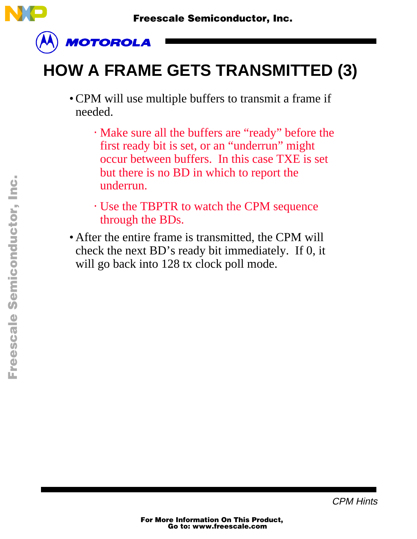

# **HOW A FRAME GETS TRANSMITTED (3)**

- CPM will use multiple buffers to transmit a frame if needed.
	- ⋅ Make sure all the buffers are "ready" before the first ready bit is set, or an "underrun" might occur between buffers. In this case TXE is set but there is no BD in which to report the underrun.
	- ⋅ Use the TBPTR to watch the CPM sequence through the BDs.
- After the entire frame is transmitted, the CPM will check the next BD's ready bit immediately. If 0, it will go back into 128 tx clock poll mode.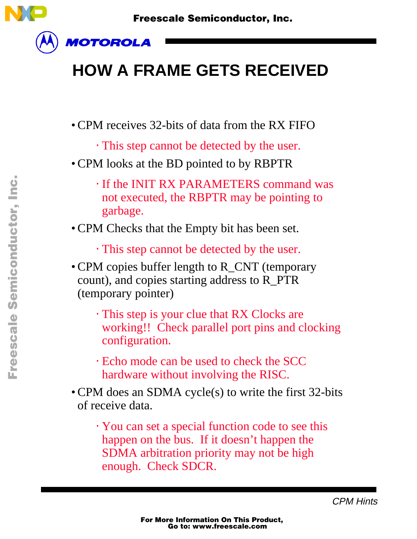

### **HOW A FRAME GETS RECEIVED**

- CPM receives 32-bits of data from the RX FIFO
	- ⋅ This step cannot be detected by the user.
- CPM looks at the BD pointed to by RBPTR
	- ⋅ If the INIT RX PARAMETERS command was not executed, the RBPTR may be pointing to garbage.
- CPM Checks that the Empty bit has been set.
	- ⋅ This step cannot be detected by the user.
- CPM copies buffer length to R\_CNT (temporary count), and copies starting address to R\_PTR (temporary pointer)
	- ⋅ This step is your clue that RX Clocks are working!! Check parallel port pins and clocking configuration.
	- ⋅ Echo mode can be used to check the SCC hardware without involving the RISC.
- CPM does an SDMA cycle(s) to write the first 32-bits of receive data.
	- ⋅ You can set a special function code to see this happen on the bus. If it doesn't happen the SDMA arbitration priority may not be high enough. Check SDCR.

CPM Hints

 $\mathbf 0$ t o

r, I

 $\blacksquare$ 

.<br>ق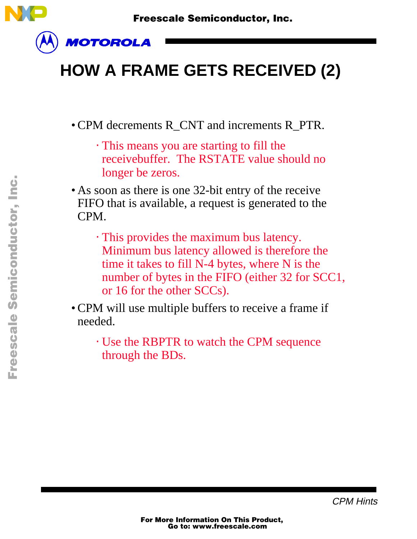

# **HOW A FRAME GETS RECEIVED (2)**

- CPM decrements R\_CNT and increments R\_PTR.
	- ⋅ This means you are starting to fill the receivebuffer. The RSTATE value should no longer be zeros.
- As soon as there is one 32-bit entry of the receive FIFO that is available, a request is generated to the CPM.
	- ⋅ This provides the maximum bus latency. Minimum bus latency allowed is therefore the time it takes to fill N-4 bytes, where N is the number of bytes in the FIFO (either 32 for SCC1, or 16 for the other SCCs).
- CPM will use multiple buffers to receive a frame if needed.
	- ⋅ Use the RBPTR to watch the CPM sequence through the BDs.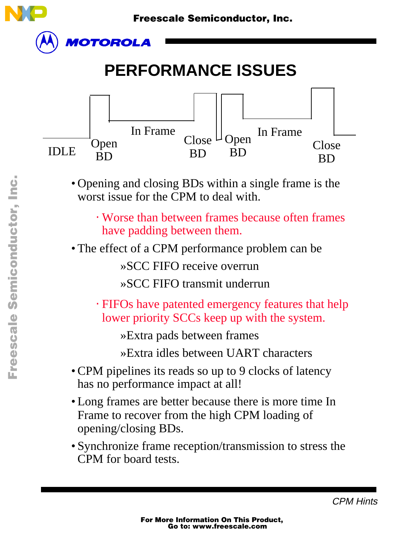

Fr  $\bigcirc$  $\bf \Phi$  $\boldsymbol{0}$  $\mathbf 0$ 

ale

 $\bm{U}$  $\bf \Phi$ 

mic

o  $\blacksquare$ d u  $\mathbf 0$ t o

r, I

 $\blacksquare$ 

.<br>ق